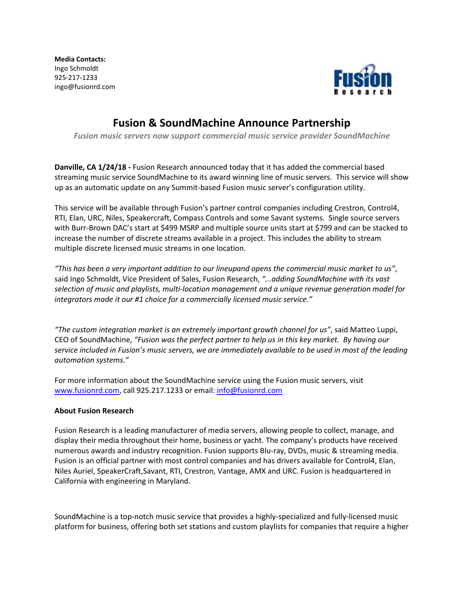**Media Contacts:**  Ingo Schmoldt 925-217-1233 ingo@fusionrd.com



## **Fusion & SoundMachine Announce Partnership**

*Fusion music servers now support commercial music service provider SoundMachine*

**Danville, CA 1/24/18 -** Fusion Research announced today that it has added the commercial based streaming music service SoundMachine to its award winning line of music servers. This service will show up as an automatic update on any Summit-based Fusion music server's configuration utility.

This service will be available through Fusion's partner control companies including Crestron, Control4, RTI, Elan, URC, Niles, Speakercraft, Compass Controls and some Savant systems. Single source servers with Burr-Brown DAC's start at \$499 MSRP and multiple source units start at \$799 and can be stacked to increase the number of discrete streams available in a project. This includes the ability to stream multiple discrete licensed music streams in one location.

*"This has been a very important addition to our lineupand opens the commercial music market to us"*, said Ingo Schmoldt, Vice President of Sales, Fusion Research, *"...adding SoundMachine with its vast selection of music and playlists, multi-location management and a unique revenue generation model for integrators made it our #1 choice for a commercially licensed music service."*

*"The custom integration market is an extremely important growth channel for us"*, said Matteo Luppi, CEO of SoundMachine, *"Fusion was the perfect partner to help us in this key market. By having our service included in Fusion's music servers, we are immediately available to be used in most of the leading automation systems."*

For more information about the SoundMachine service using the Fusion music servers, visit [www.fusionrd.com,](http://www.fusionrd.com/) call 925.217.1233 or email: [info@fusionrd.com](mailto:info@fusionrd.com)

## **About Fusion Research**

Fusion Research is a leading manufacturer of media servers, allowing people to collect, manage, and display their media throughout their home, business or yacht. The company's products have received numerous awards and industry recognition. Fusion supports Blu-ray, DVDs, music & streaming media. Fusion is an official partner with most control companies and has drivers available for Control4, Elan, Niles Auriel, SpeakerCraft,Savant, RTI, Crestron, Vantage, AMX and URC. Fusion is headquartered in California with engineering in Maryland.

SoundMachine is a top-notch music service that provides a highly-specialized and fully-licensed music platform for business, offering both set stations and custom playlists for companies that require a higher